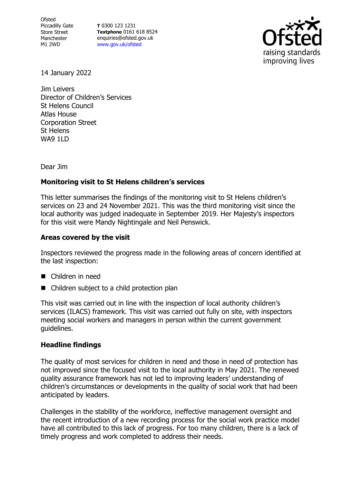**Ofsted** Piccadilly Gate Store Street Manchester M1 2WD

**T** 0300 123 1231 **Textphone** 0161 618 8524 enquiries@ofsted.gov.uk [www.gov.uk/ofsted](http://www.gov.uk/ofsted)



14 January 2022

Jim Leivers Director of Children's Services St Helens Council Atlas House Corporation Street St Helens WA9 1LD

Dear Jim

## **Monitoring visit to St Helens children's services**

This letter summarises the findings of the monitoring visit to St Helens children's services on 23 and 24 November 2021. This was the third monitoring visit since the local authority was judged inadequate in September 2019. Her Majesty's inspectors for this visit were Mandy Nightingale and Neil Penswick.

## **Areas covered by the visit**

Inspectors reviewed the progress made in the following areas of concern identified at the last inspection:

- Children in need
- Children subject to a child protection plan

This visit was carried out in line with the inspection of local authority children's services (ILACS) framework. This visit was carried out fully on site, with inspectors meeting social workers and managers in person within the current government guidelines.

## **Headline findings**

The quality of most services for children in need and those in need of protection has not improved since the focused visit to the local authority in May 2021. The renewed quality assurance framework has not led to improving leaders' understanding of children's circumstances or developments in the quality of social work that had been anticipated by leaders.

Challenges in the stability of the workforce, ineffective management oversight and the recent introduction of a new recording process for the social work practice model have all contributed to this lack of progress. For too many children, there is a lack of timely progress and work completed to address their needs.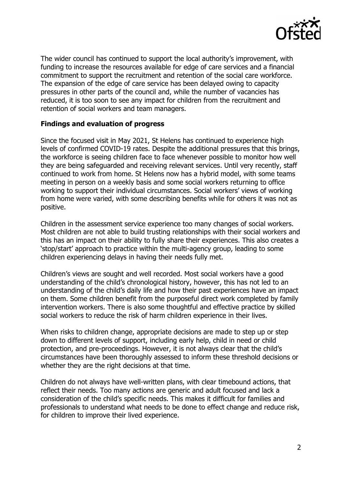

The wider council has continued to support the local authority's improvement, with funding to increase the resources available for edge of care services and a financial commitment to support the recruitment and retention of the social care workforce. The expansion of the edge of care service has been delayed owing to capacity pressures in other parts of the council and, while the number of vacancies has reduced, it is too soon to see any impact for children from the recruitment and retention of social workers and team managers.

## **Findings and evaluation of progress**

Since the focused visit in May 2021, St Helens has continued to experience high levels of confirmed COVID-19 rates. Despite the additional pressures that this brings, the workforce is seeing children face to face whenever possible to monitor how well they are being safeguarded and receiving relevant services. Until very recently, staff continued to work from home. St Helens now has a hybrid model, with some teams meeting in person on a weekly basis and some social workers returning to office working to support their individual circumstances. Social workers' views of working from home were varied, with some describing benefits while for others it was not as positive.

Children in the assessment service experience too many changes of social workers. Most children are not able to build trusting relationships with their social workers and this has an impact on their ability to fully share their experiences. This also creates a 'stop/start' approach to practice within the multi-agency group, leading to some children experiencing delays in having their needs fully met.

Children's views are sought and well recorded. Most social workers have a good understanding of the child's chronological history, however, this has not led to an understanding of the child's daily life and how their past experiences have an impact on them. Some children benefit from the purposeful direct work completed by family intervention workers. There is also some thoughtful and effective practice by skilled social workers to reduce the risk of harm children experience in their lives.

When risks to children change, appropriate decisions are made to step up or step down to different levels of support, including early help, child in need or child protection, and pre-proceedings. However, it is not always clear that the child's circumstances have been thoroughly assessed to inform these threshold decisions or whether they are the right decisions at that time.

Children do not always have well-written plans, with clear timebound actions, that reflect their needs. Too many actions are generic and adult focused and lack a consideration of the child's specific needs. This makes it difficult for families and professionals to understand what needs to be done to effect change and reduce risk, for children to improve their lived experience.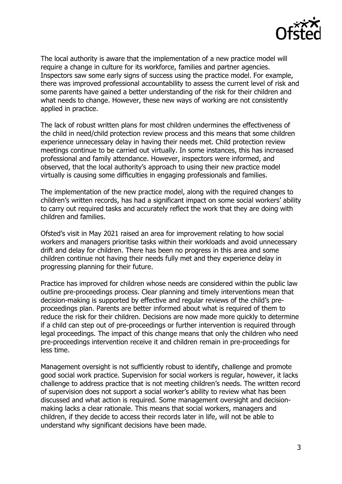

The local authority is aware that the implementation of a new practice model will require a change in culture for its workforce, families and partner agencies. Inspectors saw some early signs of success using the practice model. For example, there was improved professional accountability to assess the current level of risk and some parents have gained a better understanding of the risk for their children and what needs to change. However, these new ways of working are not consistently applied in practice.

The lack of robust written plans for most children undermines the effectiveness of the child in need/child protection review process and this means that some children experience unnecessary delay in having their needs met. Child protection review meetings continue to be carried out virtually. In some instances, this has increased professional and family attendance. However, inspectors were informed, and observed, that the local authority's approach to using their new practice model virtually is causing some difficulties in engaging professionals and families.

The implementation of the new practice model, along with the required changes to children's written records, has had a significant impact on some social workers' ability to carry out required tasks and accurately reflect the work that they are doing with children and families.

Ofsted's visit in May 2021 raised an area for improvement relating to how social workers and managers prioritise tasks within their workloads and avoid unnecessary drift and delay for children. There has been no progress in this area and some children continue not having their needs fully met and they experience delay in progressing planning for their future.

Practice has improved for children whose needs are considered within the public law outline pre-proceedings process. Clear planning and timely interventions mean that decision-making is supported by effective and regular reviews of the child's preproceedings plan. Parents are better informed about what is required of them to reduce the risk for their children. Decisions are now made more quickly to determine if a child can step out of pre-proceedings or further intervention is required through legal proceedings. The impact of this change means that only the children who need pre-proceedings intervention receive it and children remain in pre-proceedings for less time.

Management oversight is not sufficiently robust to identify, challenge and promote good social work practice. Supervision for social workers is regular, however, it lacks challenge to address practice that is not meeting children's needs. The written record of supervision does not support a social worker's ability to review what has been discussed and what action is required. Some management oversight and decisionmaking lacks a clear rationale. This means that social workers, managers and children, if they decide to access their records later in life, will not be able to understand why significant decisions have been made.